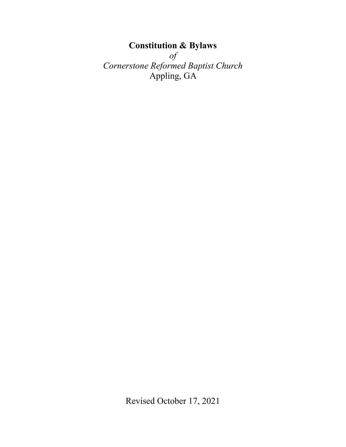# **Constitution & Bylaws**  *of Cornerstone Reformed Baptist Church*  Appling, GA

Revised October 17, 2021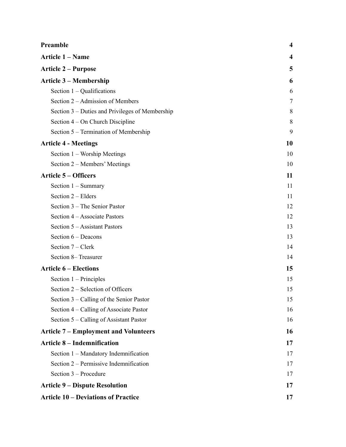| Preamble                                        | $\boldsymbol{4}$ |
|-------------------------------------------------|------------------|
| Article 1 - Name                                | 4                |
| <b>Article 2 - Purpose</b>                      | 5                |
| <b>Article 3 – Membership</b>                   | 6                |
| Section $1 -$ Qualifications                    | 6                |
| Section 2 – Admission of Members                | 7                |
| Section 3 – Duties and Privileges of Membership | 8                |
| Section $4 - On$ Church Discipline              | 8                |
| Section 5 – Termination of Membership           | 9                |
| <b>Article 4 - Meetings</b>                     | 10               |
| Section 1 – Worship Meetings                    | 10               |
| Section 2 – Members' Meetings                   | 10               |
| <b>Article 5 – Officers</b>                     | 11               |
| Section $1 -$ Summary                           | 11               |
| Section 2 - Elders                              | 11               |
| Section 3 – The Senior Pastor                   | 12               |
| Section 4 – Associate Pastors                   | 12               |
| Section 5 – Assistant Pastors                   | 13               |
| Section $6 - Deacons$                           | 13               |
| Section 7 – Clerk                               | 14               |
| Section 8– Treasurer                            | 14               |
| <b>Article 6 – Elections</b>                    | 15               |
| Section $1 - Principles$                        | 15               |
| Section 2 – Selection of Officers               | 15               |
| Section 3 – Calling of the Senior Pastor        | 15               |
| Section 4 – Calling of Associate Pastor         | 16               |
| Section 5 – Calling of Assistant Pastor         | 16               |
| <b>Article 7 – Employment and Volunteers</b>    | 16               |
| <b>Article 8 – Indemnification</b>              | 17               |
| Section 1 - Mandatory Indemnification           | 17               |
| Section 2 – Permissive Indemnification          | 17               |
| Section 3 – Procedure                           | 17               |
| <b>Article 9 – Dispute Resolution</b>           | 17               |
| <b>Article 10 - Deviations of Practice</b>      | 17               |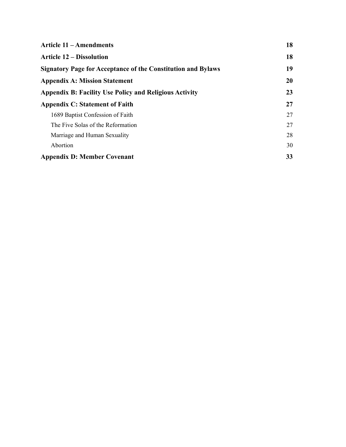| <b>Article 11 – Amendments</b>                                      | 18 |
|---------------------------------------------------------------------|----|
| <b>Article 12 – Dissolution</b>                                     | 18 |
| <b>Signatory Page for Acceptance of the Constitution and Bylaws</b> | 19 |
| <b>Appendix A: Mission Statement</b>                                | 20 |
| <b>Appendix B: Facility Use Policy and Religious Activity</b>       | 23 |
| <b>Appendix C: Statement of Faith</b>                               | 27 |
| 1689 Baptist Confession of Faith                                    | 27 |
| The Five Solas of the Reformation                                   | 27 |
| Marriage and Human Sexuality                                        | 28 |
| Abortion                                                            | 30 |
| <b>Appendix D: Member Covenant</b>                                  | 33 |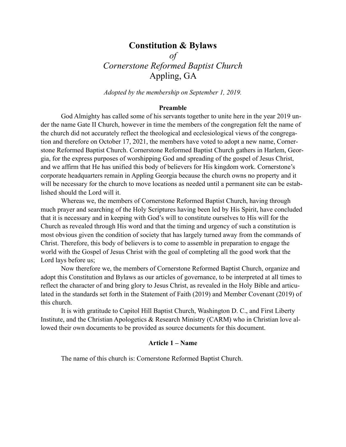# **Constitution & Bylaws**  *of Cornerstone Reformed Baptist Church*  Appling, GA

*Adopted by the membership on September 1, 2019.* 

#### <span id="page-3-0"></span>**Preamble**

 God Almighty has called some of his servants together to unite here in the year 2019 under the name Gate II Church, however in time the members of the congregation felt the name of the church did not accurately reflect the theological and ecclesiological views of the congregation and therefore on October 17, 2021, the members have voted to adopt a new name, Cornerstone Reformed Baptist Church. Cornerstone Reformed Baptist Church gathers in Harlem, Georgia, for the express purposes of worshipping God and spreading of the gospel of Jesus Christ, and we affirm that He has unified this body of believers for His kingdom work. Cornerstone's corporate headquarters remain in Appling Georgia because the church owns no property and it will be necessary for the church to move locations as needed until a permanent site can be established should the Lord will it.

 Whereas we, the members of Cornerstone Reformed Baptist Church, having through much prayer and searching of the Holy Scriptures having been led by His Spirit, have concluded that it is necessary and in keeping with God's will to constitute ourselves to His will for the Church as revealed through His word and that the timing and urgency of such a constitution is most obvious given the condition of society that has largely turned away from the commands of Christ. Therefore, this body of believers is to come to assemble in preparation to engage the world with the Gospel of Jesus Christ with the goal of completing all the good work that the Lord lays before us;

 Now therefore we, the members of Cornerstone Reformed Baptist Church, organize and adopt this Constitution and Bylaws as our articles of governance, to be interpreted at all times to reflect the character of and bring glory to Jesus Christ, as revealed in the Holy Bible and articulated in the standards set forth in the Statement of Faith (2019) and Member Covenant (2019) of this church.

 It is with gratitude to Capitol Hill Baptist Church, Washington D. C., and First Liberty Institute, and the Christian Apologetics & Research Ministry (CARM) who in Christian love allowed their own documents to be provided as source documents for this document.

### <span id="page-3-1"></span>**Article 1 – Name**

The name of this church is: Cornerstone Reformed Baptist Church.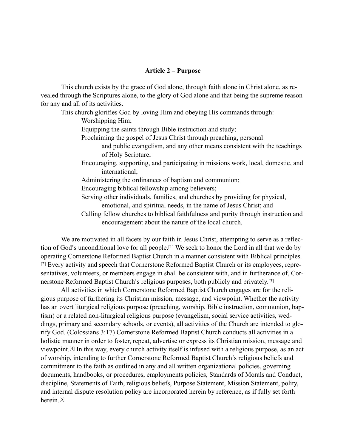#### <span id="page-4-0"></span>**Article 2 – Purpose**

This church exists by the grace of God alone, through faith alone in Christ alone, as revealed through the Scriptures alone, to the glory of God alone and that being the supreme reason for any and all of its activities.

This church glorifies God by loving Him and obeying His commands through:

Worshipping Him;

Equipping the saints through Bible instruction and study;

Proclaiming the gospel of Jesus Christ through preaching, personal

 and public evangelism, and any other means consistent with the teachings of Holy Scripture;

 Encouraging, supporting, and participating in missions work, local, domestic, and international;

Administering the ordinances of baptism and communion;

Encouraging biblical fellowship among believers;

 Serving other individuals, families, and churches by providing for physical, emotional, and spiritual needs, in the name of Jesus Christ; and

 Calling fellow churches to biblical faithfulness and purity through instruction and encouragement about the nature of the local church.

We are motivated in all facets by our faith in Jesus Christ, attempting to serve as a reflection of God's unconditional love for all people.[1] We seek to honor the Lord in all that we do by operating Cornerstone Reformed Baptist Church in a manner consistent with Biblical principles. [2] Every activity and speech that Cornerstone Reformed Baptist Church or its employees, representatives, volunteers, or members engage in shall be consistent with, and in furtherance of, Cornerstone Reformed Baptist Church's religious purposes, both publicly and privately.[3]

 All activities in which Cornerstone Reformed Baptist Church engages are for the religious purpose of furthering its Christian mission, message, and viewpoint. Whether the activity has an overt liturgical religious purpose (preaching, worship, Bible instruction, communion, baptism) or a related non-liturgical religious purpose (evangelism, social service activities, weddings, primary and secondary schools, or events), all activities of the Church are intended to glorify God. (Colossians 3:17) Cornerstone Reformed Baptist Church conducts all activities in a holistic manner in order to foster, repeat, advertise or express its Christian mission, message and viewpoint.[4] In this way, every church activity itself is infused with a religious purpose, as an act of worship, intending to further Cornerstone Reformed Baptist Church's religious beliefs and commitment to the faith as outlined in any and all written organizational policies, governing documents, handbooks, or procedures, employments policies, Standards of Morals and Conduct, discipline, Statements of Faith, religious beliefs, Purpose Statement, Mission Statement, polity, and internal dispute resolution policy are incorporated herein by reference, as if fully set forth herein.[5]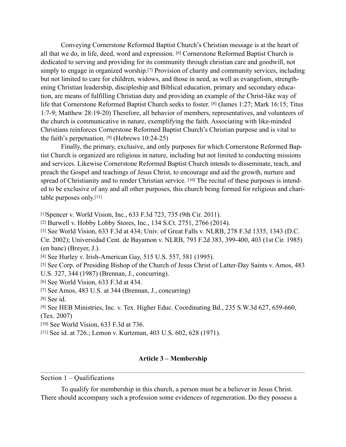Conveying Cornerstone Reformed Baptist Church's Christian message is at the heart of all that we do, in life, deed, word and expression. [6] Cornerstone Reformed Baptist Church is dedicated to serving and providing for its community through christian care and goodwill, not simply to engage in organized worship.[7] Provision of charity and community services, including but not limited to care for children, widows, and those in need, as well as evangelism, strengthening Christian leadership, discipleship and Biblical education, primary and secondary education, are means of fulfilling Christian duty and providing an example of the Christ-like way of life that Cornerstone Reformed Baptist Church seeks to foster. [8] (James 1:27; Mark 16:15; Titus 1:7-9; Matthew 28:19-20) Therefore, all behavior of members, representatives, and volunteers of the church is communicative in nature, exemplifying the faith. Associating with like-minded Christians reinforces Cornerstone Reformed Baptist Church's Christian purpose and is vital to the faith's perpetuation. [9] (Hebrews 10:24-25)

 Finally, the primary, exclusive, and only purposes for which Cornerstone Reformed Baptist Church is organized are religious in nature, including but not limited to conducting missions and services. Likewise Cornerstone Reformed Baptist Church intends to disseminate, teach, and preach the Gospel and teachings of Jesus Christ, to encourage and aid the growth, nurture and spread of Christianity and to render Christian service. [10] The recital of these purposes is intended to be exclusive of any and all other purposes, this church being formed for religious and charitable purposes only.[11]

[1]Spencer v. World Vision, Inc., 633 F.3d 723, 735 (9th Cir. 2011).

[2] Burwell v. Hobby Lobby Stores, Inc., 134 S.Ct. 2751, 2766 (2014).

[3] See World Vision, 633 F.3d at 434; Univ. of Great Falls v. NLRB, 278 F.3d 1335, 1343 (D.C. Cir. 2002); Universidad Cent. de Bayamon v. NLRB, 793 F.2d 383, 399-400, 403 (1st Cir. 1985) (en banc) (Breyer, J.).

[4] See Hurley v. Irish-American Gay, 515 U.S. 557, 581 (1995).

[5] See Corp. of Presiding Bishop of the Church of Jesus Christ of Latter-Day Saints v. Amos, 483 U.S. 327, 344 (1987) (Brennan, J., concurring).

[6] See World Vision, 633 F.3d at 434.

[7] See Amos, 483 U.S. at 344 (Brennan, J., concurring)

[8] See id.

[9] See HEB Ministries, Inc. v. Tex. Higher Educ. Coordinating Bd., 235 S.W.3d 627, 659-660, (Tex. 2007)

[10] See World Vision, 633 F.3d at 736.

[11] See id. at 726.; Lemon v. Kurtzman, 403 U.S. 602, 628 (1971).

### <span id="page-5-0"></span>**Article 3 – Membership**

#### <span id="page-5-1"></span>Section 1 – Qualifications

 To qualify for membership in this church, a person must be a believer in Jesus Christ. There should accompany such a profession some evidences of regeneration. Do they possess a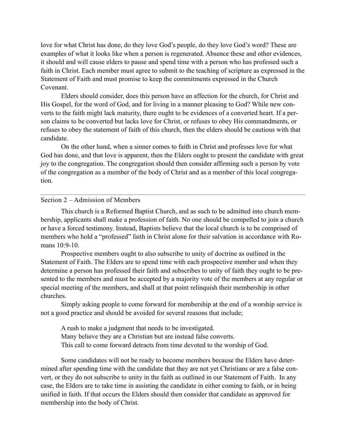love for what Christ has done, do they love God's people, do they love God's word? These are examples of what it looks like when a person is regenerated. Absence these and other evidences, it should and will cause elders to pause and spend time with a person who has professed such a faith in Christ. Each member must agree to submit to the teaching of scripture as expressed in the Statement of Faith and must promise to keep the commitments expressed in the Church Covenant.

 Elders should consider, does this person have an affection for the church, for Christ and His Gospel, for the word of God, and for living in a manner pleasing to God? While new converts to the faith might lack maturity, there ought to be evidences of a converted heart. If a person claims to be converted but lacks love for Christ, or refuses to obey His commandments, or refuses to obey the statement of faith of this church, then the elders should be cautious with that candidate.

 On the other hand, when a sinner comes to faith in Christ and professes love for what God has done, and that love is apparent, then the Elders ought to present the candidate with great joy to the congregation. The congregation should then consider affirming such a person by vote of the congregation as a member of the body of Christ and as a member of this local congregation.

### <span id="page-6-0"></span>Section 2 – Admission of Members

 This church is a Reformed Baptist Church, and as such to be admitted into church membership, applicants shall make a profession of faith. No one should be compelled to join a church or have a forced testimony. Instead, Baptists believe that the local church is to be comprised of members who hold a "professed" faith in Christ alone for their salvation in accordance with Romans 10:9-10.

 Prospective members ought to also subscribe to unity of doctrine as outlined in the Statement of Faith. The Elders are to spend time with each prospective member and when they determine a person has professed their faith and subscribes to unity of faith they ought to be presented to the members and must be accepted by a majority vote of the members at any regular or special meeting of the members, and shall at that point relinquish their membership in other churches.

 Simply asking people to come forward for membership at the end of a worship service is not a good practice and should be avoided for several reasons that include;

 A rush to make a judgment that needs to be investigated. Many believe they are a Christian but are instead false converts. This call to come forward detracts from time devoted to the worship of God.

 Some candidates will not be ready to become members because the Elders have determined after spending time with the candidate that they are not yet Christians or are a false convert, or they do not subscribe to unity in the faith as outlined in our Statement of Faith. In any case, the Elders are to take time in assisting the candidate in either coming to faith, or in being unified in faith. If that occurs the Elders should then consider that candidate as approved for membership into the body of Christ.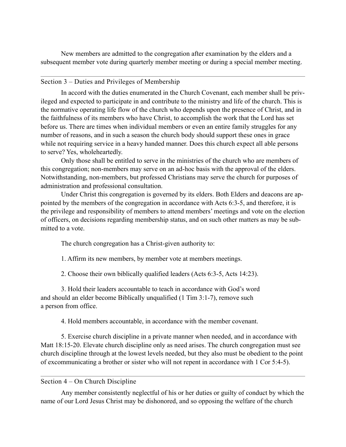New members are admitted to the congregation after examination by the elders and a subsequent member vote during quarterly member meeting or during a special member meeting.

## <span id="page-7-0"></span>Section 3 – Duties and Privileges of Membership

 In accord with the duties enumerated in the Church Covenant, each member shall be privileged and expected to participate in and contribute to the ministry and life of the church. This is the normative operating life flow of the church who depends upon the presence of Christ, and in the faithfulness of its members who have Christ, to accomplish the work that the Lord has set before us. There are times when individual members or even an entire family struggles for any number of reasons, and in such a season the church body should support these ones in grace while not requiring service in a heavy handed manner. Does this church expect all able persons to serve? Yes, wholeheartedly.

 Only those shall be entitled to serve in the ministries of the church who are members of this congregation; non-members may serve on an ad-hoc basis with the approval of the elders. Notwithstanding, non-members, but professed Christians may serve the church for purposes of administration and professional consultation.

 Under Christ this congregation is governed by its elders. Both Elders and deacons are appointed by the members of the congregation in accordance with Acts 6:3-5, and therefore, it is the privilege and responsibility of members to attend members' meetings and vote on the election of officers, on decisions regarding membership status, and on such other matters as may be submitted to a vote.

The church congregation has a Christ-given authority to:

1. Affirm its new members, by member vote at members meetings.

2. Choose their own biblically qualified leaders (Acts 6:3-5, Acts 14:23).

 3. Hold their leaders accountable to teach in accordance with God's word and should an elder become Biblically unqualified (1 Tim 3:1-7), remove such a person from office.

4. Hold members accountable, in accordance with the member covenant.

 5. Exercise church discipline in a private manner when needed, and in accordance with Matt 18:15-20. Elevate church discipline only as need arises. The church congregation must see church discipline through at the lowest levels needed, but they also must be obedient to the point of excommunicating a brother or sister who will not repent in accordance with 1 Cor 5:4-5).

### <span id="page-7-1"></span>Section 4 – On Church Discipline

 Any member consistently neglectful of his or her duties or guilty of conduct by which the name of our Lord Jesus Christ may be dishonored, and so opposing the welfare of the church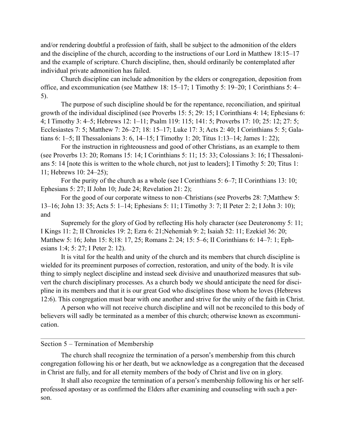and/or rendering doubtful a profession of faith, shall be subject to the admonition of the elders and the discipline of the church, according to the instructions of our Lord in Matthew 18:15–17 and the example of scripture. Church discipline, then, should ordinarily be contemplated after individual private admonition has failed.

 Church discipline can include admonition by the elders or congregation, deposition from office, and excommunication (see Matthew 18: 15–17; 1 Timothy 5: 19–20; 1 Corinthians 5: 4– 5).

 The purpose of such discipline should be for the repentance, reconciliation, and spiritual growth of the individual disciplined (see Proverbs 15: 5; 29: 15; I Corinthians 4: 14; Ephesians 6: 4; I Timothy 3: 4–5; Hebrews 12: 1–11; Psalm 119: 115; 141: 5; Proverbs 17: 10; 25: 12; 27: 5; Ecclesiastes 7: 5; Matthew 7: 26–27; 18: 15–17; Luke 17: 3; Acts 2: 40; I Corinthians 5: 5; Galatians 6: 1–5; II Thessalonians 3: 6, 14–15; I Timothy 1: 20; Titus 1:13–14; James 1: 22);

 For the instruction in righteousness and good of other Christians, as an example to them (see Proverbs 13: 20; Romans 15: 14; I Corinthians 5: 11; 15: 33; Colossians 3: 16; I Thessalonians 5: 14 [note this is written to the whole church, not just to leaders]; I Timothy 5: 20; Titus 1: 11; Hebrews 10: 24–25);

For the purity of the church as a whole (see I Corinthians 5: 6–7; II Corinthians 13: 10; Ephesians 5: 27; II John 10; Jude 24; Revelation 21: 2);

 For the good of our corporate witness to non–Christians (see Proverbs 28: 7;Matthew 5: 13–16; John 13: 35; Acts 5: 1–14; Ephesians 5: 11; I Timothy 3: 7; II Peter 2: 2; I John 3: 10); and

 Supremely for the glory of God by reflecting His holy character (see Deuteronomy 5: 11; I Kings 11: 2; II Chronicles 19: 2; Ezra 6: 21;Nehemiah 9: 2; Isaiah 52: 11; Ezekiel 36: 20; Matthew 5: 16; John 15: 8;18: 17, 25; Romans 2: 24; 15: 5–6; II Corinthians 6: 14–7: 1; Ephesians 1:4; 5: 27; I Peter 2: 12).

 It is vital for the health and unity of the church and its members that church discipline is wielded for its preeminent purposes of correction, restoration, and unity of the body. It is vile thing to simply neglect discipline and instead seek divisive and unauthorized measures that subvert the church disciplinary processes. As a church body we should anticipate the need for discipline in its members and that it is our great God who disciplines those whom he loves (Hebrews 12:6). This congregation must bear with one another and strive for the unity of the faith in Christ.

 A person who will not receive church discipline and will not be reconciled to this body of believers will sadly be terminated as a member of this church; otherwise known as excommunication.

### <span id="page-8-0"></span>Section 5 – Termination of Membership

 The church shall recognize the termination of a person's membership from this church congregation following his or her death, but we acknowledge as a congregation that the deceased in Christ are fully, and for all eternity members of the body of Christ and live on in glory.

 It shall also recognize the termination of a person's membership following his or her selfprofessed apostasy or as confirmed the Elders after examining and counseling with such a person.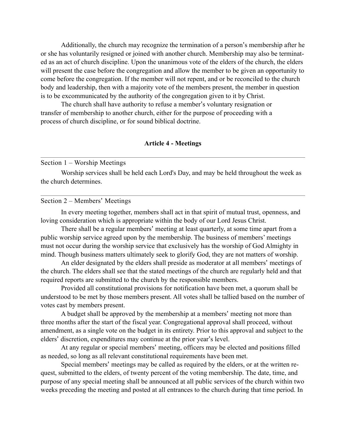Additionally, the church may recognize the termination of a person's membership after he or she has voluntarily resigned or joined with another church. Membership may also be terminated as an act of church discipline. Upon the unanimous vote of the elders of the church, the elders will present the case before the congregation and allow the member to be given an opportunity to come before the congregation. If the member will not repent, and or be reconciled to the church body and leadership, then with a majority vote of the members present, the member in question is to be excommunicated by the authority of the congregation given to it by Christ.

 The church shall have authority to refuse a member's voluntary resignation or transfer of membership to another church, either for the purpose of proceeding with a process of church discipline, or for sound biblical doctrine.

### <span id="page-9-0"></span>**Article 4 - Meetings**

#### <span id="page-9-1"></span>Section 1 – Worship Meetings

 Worship services shall be held each Lord's Day, and may be held throughout the week as the church determines.

#### <span id="page-9-2"></span>Section 2 – Members' Meetings

 In every meeting together, members shall act in that spirit of mutual trust, openness, and loving consideration which is appropriate within the body of our Lord Jesus Christ.

 There shall be a regular members' meeting at least quarterly, at some time apart from a public worship service agreed upon by the membership. The business of members' meetings must not occur during the worship service that exclusively has the worship of God Almighty in mind. Though business matters ultimately seek to glorify God, they are not matters of worship.

 An elder designated by the elders shall preside as moderator at all members' meetings of the church. The elders shall see that the stated meetings of the church are regularly held and that required reports are submitted to the church by the responsible members.

 Provided all constitutional provisions for notification have been met, a quorum shall be understood to be met by those members present. All votes shall be tallied based on the number of votes cast by members present.

 A budget shall be approved by the membership at a members' meeting not more than three months after the start of the fiscal year. Congregational approval shall proceed, without amendment, as a single vote on the budget in its entirety. Prior to this approval and subject to the elders' discretion, expenditures may continue at the prior year's level.

 At any regular or special members' meeting, officers may be elected and positions filled as needed, so long as all relevant constitutional requirements have been met.

 Special members' meetings may be called as required by the elders, or at the written request, submitted to the elders, of twenty percent of the voting membership. The date, time, and purpose of any special meeting shall be announced at all public services of the church within two weeks preceding the meeting and posted at all entrances to the church during that time period. In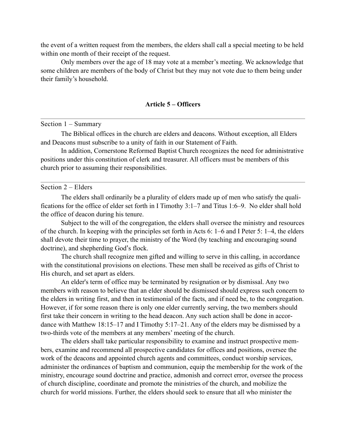the event of a written request from the members, the elders shall call a special meeting to be held within one month of their receipt of the request.

 Only members over the age of 18 may vote at a member's meeting. We acknowledge that some children are members of the body of Christ but they may not vote due to them being under their family's household.

#### <span id="page-10-0"></span>**Article 5 – Officers**

<span id="page-10-1"></span>Section 1 – Summary

 The Biblical offices in the church are elders and deacons. Without exception, all Elders and Deacons must subscribe to a unity of faith in our Statement of Faith.

 In addition, Cornerstone Reformed Baptist Church recognizes the need for administrative positions under this constitution of clerk and treasurer. All officers must be members of this church prior to assuming their responsibilities.

### <span id="page-10-2"></span>Section 2 – Elders

 The elders shall ordinarily be a plurality of elders made up of men who satisfy the qualifications for the office of elder set forth in I Timothy 3:1–7 and Titus 1:6–9. No elder shall hold the office of deacon during his tenure.

 Subject to the will of the congregation, the elders shall oversee the ministry and resources of the church. In keeping with the principles set forth in Acts 6: 1–6 and I Peter 5: 1–4, the elders shall devote their time to prayer, the ministry of the Word (by teaching and encouraging sound doctrine), and shepherding God's flock.

 The church shall recognize men gifted and willing to serve in this calling, in accordance with the constitutional provisions on elections. These men shall be received as gifts of Christ to His church, and set apart as elders.

 An elder's term of office may be terminated by resignation or by dismissal. Any two members with reason to believe that an elder should be dismissed should express such concern to the elders in writing first, and then in testimonial of the facts, and if need be, to the congregation. However, if for some reason there is only one elder currently serving, the two members should first take their concern in writing to the head deacon. Any such action shall be done in accordance with Matthew 18:15–17 and I Timothy 5:17–21. Any of the elders may be dismissed by a two-thirds vote of the members at any members' meeting of the church.

 The elders shall take particular responsibility to examine and instruct prospective members, examine and recommend all prospective candidates for offices and positions, oversee the work of the deacons and appointed church agents and committees, conduct worship services, administer the ordinances of baptism and communion, equip the membership for the work of the ministry, encourage sound doctrine and practice, admonish and correct error, oversee the process of church discipline, coordinate and promote the ministries of the church, and mobilize the church for world missions. Further, the elders should seek to ensure that all who minister the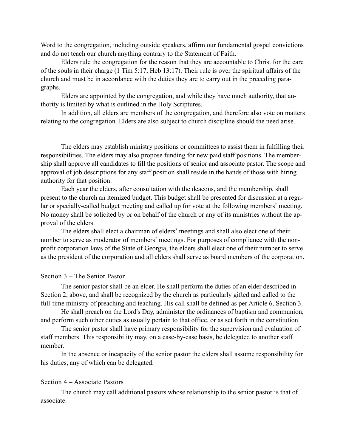Word to the congregation, including outside speakers, affirm our fundamental gospel convictions and do not teach our church anything contrary to the Statement of Faith.

 Elders rule the congregation for the reason that they are accountable to Christ for the care of the souls in their charge (1 Tim 5:17, Heb 13:17). Their rule is over the spiritual affairs of the church and must be in accordance with the duties they are to carry out in the preceding paragraphs.

 Elders are appointed by the congregation, and while they have much authority, that authority is limited by what is outlined in the Holy Scriptures.

 In addition, all elders are members of the congregation, and therefore also vote on matters relating to the congregation. Elders are also subject to church discipline should the need arise.

 The elders may establish ministry positions or committees to assist them in fulfilling their responsibilities. The elders may also propose funding for new paid staff positions. The membership shall approve all candidates to fill the positions of senior and associate pastor. The scope and approval of job descriptions for any staff position shall reside in the hands of those with hiring authority for that position.

 Each year the elders, after consultation with the deacons, and the membership, shall present to the church an itemized budget. This budget shall be presented for discussion at a regular or specially-called budget meeting and called up for vote at the following members' meeting. No money shall be solicited by or on behalf of the church or any of its ministries without the approval of the elders.

 The elders shall elect a chairman of elders' meetings and shall also elect one of their number to serve as moderator of members' meetings. For purposes of compliance with the nonprofit corporation laws of the State of Georgia, the elders shall elect one of their number to serve as the president of the corporation and all elders shall serve as board members of the corporation.

### <span id="page-11-0"></span>Section 3 – The Senior Pastor

 The senior pastor shall be an elder. He shall perform the duties of an elder described in Section 2, above, and shall be recognized by the church as particularly gifted and called to the full-time ministry of preaching and teaching. His call shall be defined as per Article 6, Section 3.

 He shall preach on the Lord's Day, administer the ordinances of baptism and communion, and perform such other duties as usually pertain to that office, or as set forth in the constitution.

 The senior pastor shall have primary responsibility for the supervision and evaluation of staff members. This responsibility may, on a case-by-case basis, be delegated to another staff member.

 In the absence or incapacity of the senior pastor the elders shall assume responsibility for his duties, any of which can be delegated.

# <span id="page-11-1"></span>Section 4 – Associate Pastors

 The church may call additional pastors whose relationship to the senior pastor is that of associate.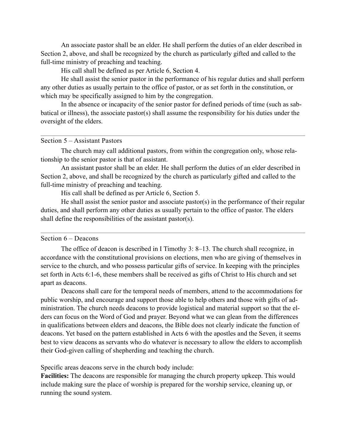An associate pastor shall be an elder. He shall perform the duties of an elder described in Section 2, above, and shall be recognized by the church as particularly gifted and called to the full-time ministry of preaching and teaching.

His call shall be defined as per Article 6, Section 4.

 He shall assist the senior pastor in the performance of his regular duties and shall perform any other duties as usually pertain to the office of pastor, or as set forth in the constitution, or which may be specifically assigned to him by the congregation.

 In the absence or incapacity of the senior pastor for defined periods of time (such as sabbatical or illness), the associate pastor(s) shall assume the responsibility for his duties under the oversight of the elders.

### <span id="page-12-0"></span>Section 5 – Assistant Pastors

 The church may call additional pastors, from within the congregation only, whose relationship to the senior pastor is that of assistant.

 An assistant pastor shall be an elder. He shall perform the duties of an elder described in Section 2, above, and shall be recognized by the church as particularly gifted and called to the full-time ministry of preaching and teaching.

His call shall be defined as per Article 6, Section 5.

 He shall assist the senior pastor and associate pastor(s) in the performance of their regular duties, and shall perform any other duties as usually pertain to the office of pastor. The elders shall define the responsibilities of the assistant pastor(s).

### <span id="page-12-1"></span>Section 6 – Deacons

 The office of deacon is described in I Timothy 3: 8–13. The church shall recognize, in accordance with the constitutional provisions on elections, men who are giving of themselves in service to the church, and who possess particular gifts of service. In keeping with the principles set forth in Acts 6:1-6, these members shall be received as gifts of Christ to His church and set apart as deacons.

 Deacons shall care for the temporal needs of members, attend to the accommodations for public worship, and encourage and support those able to help others and those with gifts of administration. The church needs deacons to provide logistical and material support so that the elders can focus on the Word of God and prayer. Beyond what we can glean from the differences in qualifications between elders and deacons, the Bible does not clearly indicate the function of deacons. Yet based on the pattern established in Acts 6 with the apostles and the Seven, it seems best to view deacons as servants who do whatever is necessary to allow the elders to accomplish their God-given calling of shepherding and teaching the church.

Specific areas deacons serve in the church body include:

**Facilities:** The deacons are responsible for managing the church property upkeep. This would include making sure the place of worship is prepared for the worship service, cleaning up, or running the sound system.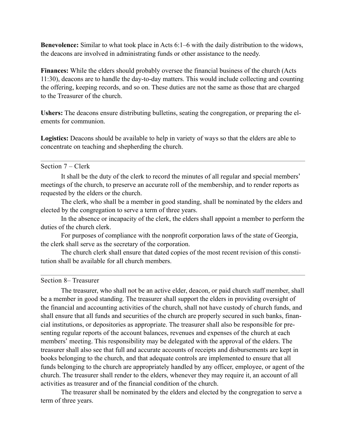**Benevolence:** Similar to what took place in Acts 6:1–6 with the daily distribution to the widows, the deacons are involved in administrating funds or other assistance to the needy.

**Finances:** While the elders should probably oversee the financial business of the church (Acts 11:30), deacons are to handle the day-to-day matters. This would include collecting and counting the offering, keeping records, and so on. These duties are not the same as those that are charged to the Treasurer of the church.

**Ushers:** The deacons ensure distributing bulletins, seating the congregation, or preparing the elements for communion.

**Logistics:** Deacons should be available to help in variety of ways so that the elders are able to concentrate on teaching and shepherding the church.

### <span id="page-13-0"></span>Section 7 – Clerk

 It shall be the duty of the clerk to record the minutes of all regular and special members' meetings of the church, to preserve an accurate roll of the membership, and to render reports as requested by the elders or the church.

 The clerk, who shall be a member in good standing, shall be nominated by the elders and elected by the congregation to serve a term of three years.

 In the absence or incapacity of the clerk, the elders shall appoint a member to perform the duties of the church clerk.

 For purposes of compliance with the nonprofit corporation laws of the state of Georgia, the clerk shall serve as the secretary of the corporation.

 The church clerk shall ensure that dated copies of the most recent revision of this constitution shall be available for all church members.

# <span id="page-13-1"></span>Section 8– Treasurer

 The treasurer, who shall not be an active elder, deacon, or paid church staff member, shall be a member in good standing. The treasurer shall support the elders in providing oversight of the financial and accounting activities of the church, shall not have custody of church funds, and shall ensure that all funds and securities of the church are properly secured in such banks, financial institutions, or depositories as appropriate. The treasurer shall also be responsible for presenting regular reports of the account balances, revenues and expenses of the church at each members' meeting. This responsibility may be delegated with the approval of the elders. The treasurer shall also see that full and accurate accounts of receipts and disbursements are kept in books belonging to the church, and that adequate controls are implemented to ensure that all funds belonging to the church are appropriately handled by any officer, employee, or agent of the church. The treasurer shall render to the elders, whenever they may require it, an account of all activities as treasurer and of the financial condition of the church.

 The treasurer shall be nominated by the elders and elected by the congregation to serve a term of three years.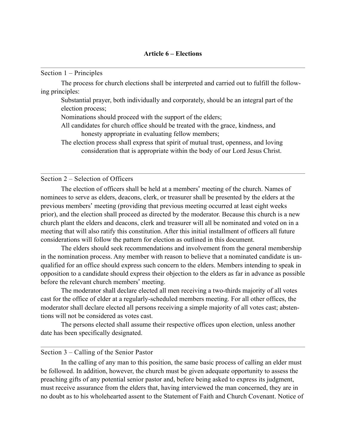#### <span id="page-14-1"></span>Section 1 – Principles

 The process for church elections shall be interpreted and carried out to fulfill the following principles:

<span id="page-14-0"></span> Substantial prayer, both individually and corporately, should be an integral part of the election process;

Nominations should proceed with the support of the elders;

 All candidates for church office should be treated with the grace, kindness, and honesty appropriate in evaluating fellow members;

 The election process shall express that spirit of mutual trust, openness, and loving consideration that is appropriate within the body of our Lord Jesus Christ.

#### <span id="page-14-2"></span>Section 2 – Selection of Officers

 The election of officers shall be held at a members' meeting of the church. Names of nominees to serve as elders, deacons, clerk, or treasurer shall be presented by the elders at the previous members' meeting (providing that previous meeting occurred at least eight weeks prior), and the election shall proceed as directed by the moderator. Because this church is a new church plant the elders and deacons, clerk and treasurer will all be nominated and voted on in a meeting that will also ratify this constitution. After this initial installment of officers all future considerations will follow the pattern for election as outlined in this document.

 The elders should seek recommendations and involvement from the general membership in the nomination process. Any member with reason to believe that a nominated candidate is unqualified for an office should express such concern to the elders. Members intending to speak in opposition to a candidate should express their objection to the elders as far in advance as possible before the relevant church members' meeting.

 The moderator shall declare elected all men receiving a two-thirds majority of all votes cast for the office of elder at a regularly-scheduled members meeting. For all other offices, the moderator shall declare elected all persons receiving a simple majority of all votes cast; abstentions will not be considered as votes cast.

 The persons elected shall assume their respective offices upon election, unless another date has been specifically designated.

### <span id="page-14-3"></span>Section 3 – Calling of the Senior Pastor

 In the calling of any man to this position, the same basic process of calling an elder must be followed. In addition, however, the church must be given adequate opportunity to assess the preaching gifts of any potential senior pastor and, before being asked to express its judgment, must receive assurance from the elders that, having interviewed the man concerned, they are in no doubt as to his wholehearted assent to the Statement of Faith and Church Covenant. Notice of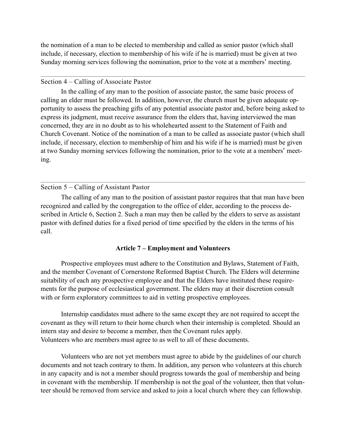the nomination of a man to be elected to membership and called as senior pastor (which shall include, if necessary, election to membership of his wife if he is married) must be given at two Sunday morning services following the nomination, prior to the vote at a members' meeting.

## <span id="page-15-0"></span>Section 4 – Calling of Associate Pastor

 In the calling of any man to the position of associate pastor, the same basic process of calling an elder must be followed. In addition, however, the church must be given adequate opportunity to assess the preaching gifts of any potential associate pastor and, before being asked to express its judgment, must receive assurance from the elders that, having interviewed the man concerned, they are in no doubt as to his wholehearted assent to the Statement of Faith and Church Covenant. Notice of the nomination of a man to be called as associate pastor (which shall include, if necessary, election to membership of him and his wife if he is married) must be given at two Sunday morning services following the nomination, prior to the vote at a members' meeting.

# <span id="page-15-1"></span>Section 5 – Calling of Assistant Pastor

 The calling of any man to the position of assistant pastor requires that that man have been recognized and called by the congregation to the office of elder, according to the process described in Article 6, Section 2. Such a man may then be called by the elders to serve as assistant pastor with defined duties for a fixed period of time specified by the elders in the terms of his call.

# <span id="page-15-2"></span>**Article 7 – Employment and Volunteers**

 Prospective employees must adhere to the Constitution and Bylaws, Statement of Faith, and the member Covenant of Cornerstone Reformed Baptist Church. The Elders will determine suitability of each any prospective employee and that the Elders have instituted these requirements for the purpose of ecclesiastical government. The elders may at their discretion consult with or form exploratory committees to aid in vetting prospective employees.

 Internship candidates must adhere to the same except they are not required to accept the covenant as they will return to their home church when their internship is completed. Should an intern stay and desire to become a member, then the Covenant rules apply. Volunteers who are members must agree to as well to all of these documents.

 Volunteers who are not yet members must agree to abide by the guidelines of our church documents and not teach contrary to them. In addition, any person who volunteers at this church in any capacity and is not a member should progress towards the goal of membership and being in covenant with the membership. If membership is not the goal of the volunteer, then that volunteer should be removed from service and asked to join a local church where they can fellowship.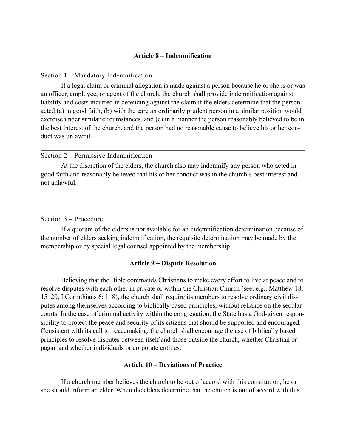### <span id="page-16-1"></span><span id="page-16-0"></span>Section 1 – Mandatory Indemnification

 If a legal claim or criminal allegation is made against a person because he or she is or was an officer, employee, or agent of the church, the church shall provide indemnification against liability and costs incurred in defending against the claim if the elders determine that the person acted (a) in good faith, (b) with the care an ordinarily prudent person in a similar position would exercise under similar circumstances, and (c) in a manner the person reasonably believed to be in the best interest of the church, and the person had no reasonable cause to believe his or her conduct was unlawful.

### <span id="page-16-2"></span>Section 2 – Permissive Indemnification

 At the discretion of the elders, the church also may indemnify any person who acted in good faith and reasonably believed that his or her conduct was in the church's best interest and not unlawful.

### <span id="page-16-3"></span>Section 3 – Procedure

 If a quorum of the elders is not available for an indemnification determination because of the number of elders seeking indemnification, the requisite determination may be made by the membership or by special legal counsel appointed by the membership.

### <span id="page-16-4"></span>**Article 9 – Dispute Resolution**

 Believing that the Bible commands Christians to make every effort to live at peace and to resolve disputes with each other in private or within the Christian Church (see, e.g., Matthew 18: 15–20, I Corinthians 6: 1–8), the church shall require its members to resolve ordinary civil disputes among themselves according to biblically based principles, without reliance on the secular courts. In the case of criminal activity within the congregation, the State has a God-given responsibility to protect the peace and security of its citizens that should be supported and encouraged. Consistent with its call to peacemaking, the church shall encourage the use of biblically based principles to resolve disputes between itself and those outside the church, whether Christian or pagan and whether individuals or corporate entities.

#### <span id="page-16-5"></span>**Article 10 – Deviations of Practice**

 If a church member believes the church to be out of accord with this constitution, he or she should inform an elder. When the elders determine that the church is out of accord with this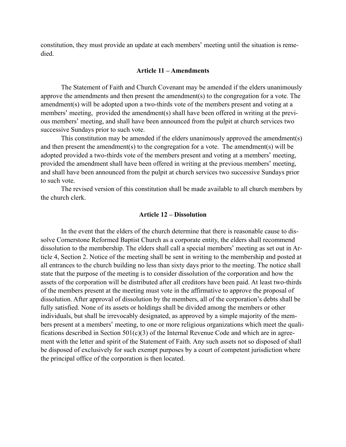constitution, they must provide an update at each members' meeting until the situation is remedied.

#### <span id="page-17-0"></span>**Article 11 – Amendments**

 The Statement of Faith and Church Covenant may be amended if the elders unanimously approve the amendments and then present the amendment(s) to the congregation for a vote. The amendment(s) will be adopted upon a two-thirds vote of the members present and voting at a members' meeting, provided the amendment(s) shall have been offered in writing at the previous members' meeting, and shall have been announced from the pulpit at church services two successive Sundays prior to such vote.

 This constitution may be amended if the elders unanimously approved the amendment(s) and then present the amendment(s) to the congregation for a vote. The amendment(s) will be adopted provided a two-thirds vote of the members present and voting at a members' meeting, provided the amendment shall have been offered in writing at the previous members' meeting, and shall have been announced from the pulpit at church services two successive Sundays prior to such vote.

 The revised version of this constitution shall be made available to all church members by the church clerk.

#### <span id="page-17-1"></span>**Article 12 – Dissolution**

 In the event that the elders of the church determine that there is reasonable cause to dissolve Cornerstone Reformed Baptist Church as a corporate entity, the elders shall recommend dissolution to the membership. The elders shall call a special members' meeting as set out in Article 4, Section 2. Notice of the meeting shall be sent in writing to the membership and posted at all entrances to the church building no less than sixty days prior to the meeting. The notice shall state that the purpose of the meeting is to consider dissolution of the corporation and how the assets of the corporation will be distributed after all creditors have been paid. At least two-thirds of the members present at the meeting must vote in the affirmative to approve the proposal of dissolution. After approval of dissolution by the members, all of the corporation's debts shall be fully satisfied. None of its assets or holdings shall be divided among the members or other individuals, but shall be irrevocably designated, as approved by a simple majority of the members present at a members' meeting, to one or more religious organizations which meet the qualifications described in Section  $501(c)(3)$  of the Internal Revenue Code and which are in agreement with the letter and spirit of the Statement of Faith. Any such assets not so disposed of shall be disposed of exclusively for such exempt purposes by a court of competent jurisdiction where the principal office of the corporation is then located.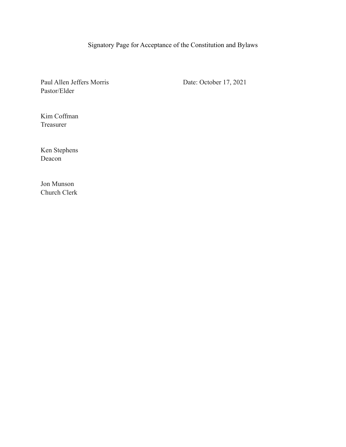# <span id="page-18-0"></span>Signatory Page for Acceptance of the Constitution and Bylaws

Paul Allen Jeffers Morris Date: October 17, 2021 Pastor/Elder

Kim Coffman Treasurer

Ken Stephens Deacon

Jon Munson Church Clerk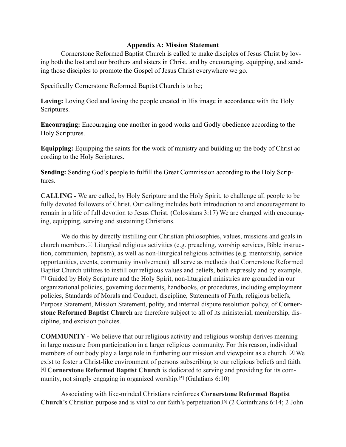# <span id="page-19-0"></span>**Appendix A: Mission Statement**

 Cornerstone Reformed Baptist Church is called to make disciples of Jesus Christ by loving both the lost and our brothers and sisters in Christ, and by encouraging, equipping, and sending those disciples to promote the Gospel of Jesus Christ everywhere we go.

Specifically Cornerstone Reformed Baptist Church is to be;

**Loving:** Loving God and loving the people created in His image in accordance with the Holy Scriptures.

**Encouraging:** Encouraging one another in good works and Godly obedience according to the Holy Scriptures.

**Equipping:** Equipping the saints for the work of ministry and building up the body of Christ according to the Holy Scriptures.

**Sending:** Sending God's people to fulfill the Great Commission according to the Holy Scriptures.

**CALLING -** We are called, by Holy Scripture and the Holy Spirit, to challenge all people to be fully devoted followers of Christ. Our calling includes both introduction to and encouragement to remain in a life of full devotion to Jesus Christ. (Colossians 3:17) We are charged with encouraging, equipping, serving and sustaining Christians.

We do this by directly instilling our Christian philosophies, values, missions and goals in church members.[1] Liturgical religious activities (e.g. preaching, worship services, Bible instruction, communion, baptism), as well as non-liturgical religious activities (e.g. mentorship, service opportunities, events, community involvement) all serve as methods that Cornerstone Reformed Baptist Church utilizes to instill our religious values and beliefs, both expressly and by example. [2] Guided by Holy Scripture and the Holy Spirit, non-liturgical ministries are grounded in our organizational policies, governing documents, handbooks, or procedures, including employment policies, Standards of Morals and Conduct, discipline, Statements of Faith, religious beliefs, Purpose Statement, Mission Statement, polity, and internal dispute resolution policy, of **Cornerstone Reformed Baptist Church** are therefore subject to all of its ministerial, membership, discipline, and excision policies.

**COMMUNITY -** We believe that our religious activity and religious worship derives meaning in large measure from participation in a larger religious community. For this reason, individual members of our body play a large role in furthering our mission and viewpoint as a church. [3] We exist to foster a Christ-like environment of persons subscribing to our religious beliefs and faith. [4] **Cornerstone Reformed Baptist Church** is dedicated to serving and providing for its community, not simply engaging in organized worship.[5] (Galatians 6:10)

Associating with like-minded Christians reinforces **Cornerstone Reformed Baptist Church**'s Christian purpose and is vital to our faith's perpetuation.[6] (2 Corinthians 6:14; 2 John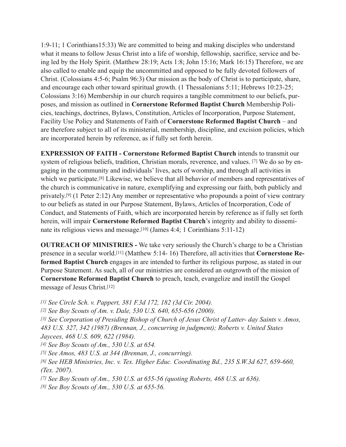1:9-11; 1 Corinthians15:33) We are committed to being and making disciples who understand what it means to follow Jesus Christ into a life of worship, fellowship, sacrifice, service and being led by the Holy Spirit. (Matthew 28:19; Acts 1:8; John 15:16; Mark 16:15) Therefore, we are also called to enable and equip the uncommitted and opposed to be fully devoted followers of Christ. (Colossians 4:5-6; Psalm 96:3) Our mission as the body of Christ is to participate, share, and encourage each other toward spiritual growth. (1 Thessalonians 5:11; Hebrews 10:23-25; Colossians 3:16) Membership in our church requires a tangible commitment to our beliefs, purposes, and mission as outlined in **Cornerstone Reformed Baptist Church** Membership Policies, teachings, doctrines, Bylaws, Constitution, Articles of Incorporation, Purpose Statement, Facility Use Policy and Statements of Faith of **Cornerstone Reformed Baptist Church** – and are therefore subject to all of its ministerial, membership, discipline, and excision policies, which are incorporated herein by reference, as if fully set forth herein.

**EXPRESSION OF FAITH - Cornerstone Reformed Baptist Church** intends to transmit our system of religious beliefs, tradition, Christian morals, reverence, and values. [7] We do so by engaging in the community and individuals' lives, acts of worship, and through all activities in which we participate.[8] Likewise, we believe that all behavior of members and representatives of the church is communicative in nature, exemplifying and expressing our faith, both publicly and privately.[9] (1 Peter 2:12) Any member or representative who propounds a point of view contrary to our beliefs as stated in our Purpose Statement, Bylaws, Articles of Incorporation, Code of Conduct, and Statements of Faith, which are incorporated herein by reference as if fully set forth herein, will impair **Cornerstone Reformed Baptist Church**'s integrity and ability to disseminate its religious views and message.[10] (James 4:4; 1 Corinthians 5:11-12)

**OUTREACH OF MINISTRIES -** We take very seriously the Church's charge to be a Christian presence in a secular world.[11] (Matthew 5:14- 16) Therefore, all activities that **Cornerstone Reformed Baptist Church** engages in are intended to further its religious purpose, as stated in our Purpose Statement. As such, all of our ministries are considered an outgrowth of the mission of **Cornerstone Reformed Baptist Church** to preach, teach, evangelize and instill the Gospel message of Jesus Christ.[12]

- *[1] See Circle Sch. v. Pappert, 381 F.3d 172, 182 (3d Cir. 2004).*
- *[2] See Boy Scouts of Am. v. Dale, 530 U.S. 640, 655-656 (2000).*

*[3] See Corporation of Presiding Bishop of Church of Jesus Christ of Latter- day Saints v. Amos, 483 U.S. 327, 342 (1987) (Brennan, J., concurring in judgment); Roberts v. United States Jaycees, 468 U.S. 609, 622 (1984).* 

- *[4] See Boy Scouts of Am., 530 U.S. at 654.*
- *[5] See Amos, 483 U.S. at 344 (Brennan, J., concurring).*
- *[6] See HEB Ministries, Inc. v. Tex. Higher Educ. Coordinating Bd., 235 S.W.3d 627, 659-660, (Tex. 2007).*
- *[7] See Boy Scouts of Am., 530 U.S. at 655-56 (quoting Roberts, 468 U.S. at 636).*
- *[8] See Boy Scouts of Am., 530 U.S. at 655-56.*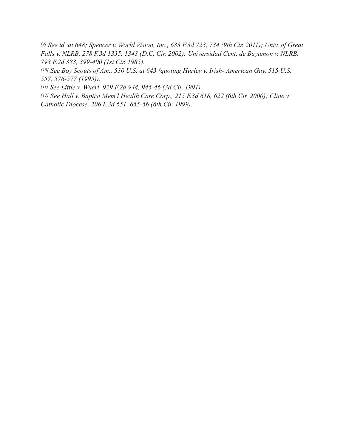*[9] See id. at 648; Spencer v. World Vision, Inc., 633 F.3d 723, 734 (9th Cir. 2011); Univ. of Great Falls v. NLRB, 278 F.3d 1335, 1343 (D.C. Cir. 2002); Universidad Cent. de Bayamon v. NLRB, 793 F.2d 383, 399-400 (1st Cir. 1985).* 

*[10] See Boy Scouts of Am., 530 U.S. at 643 (quoting Hurley v. Irish- American Gay, 515 U.S. 557, 576-577 (1995)).* 

*[11] See Little v. Wuerl, 929 F.2d 944, 945-46 (3d Cir. 1991).* 

*[12] See Hall v. Baptist Mem'l Health Care Corp., 215 F.3d 618, 622 (6th Cir. 2000); Cline v. Catholic Diocese, 206 F.3d 651, 655-56 (6th Cir. 1999).*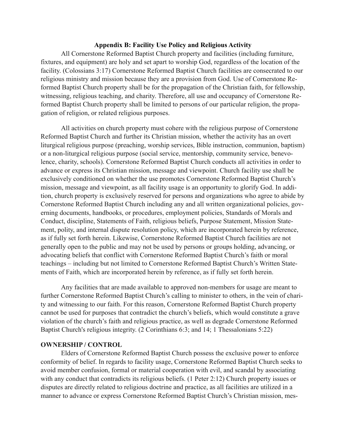### <span id="page-22-0"></span>**Appendix B: Facility Use Policy and Religious Activity**

All Cornerstone Reformed Baptist Church property and facilities (including furniture, fixtures, and equipment) are holy and set apart to worship God, regardless of the location of the facility. (Colossians 3:17) Cornerstone Reformed Baptist Church facilities are consecrated to our religious ministry and mission because they are a provision from God. Use of Cornerstone Reformed Baptist Church property shall be for the propagation of the Christian faith, for fellowship, witnessing, religious teaching, and charity. Therefore, all use and occupancy of Cornerstone Reformed Baptist Church property shall be limited to persons of our particular religion, the propagation of religion, or related religious purposes.

All activities on church property must cohere with the religious purpose of Cornerstone Reformed Baptist Church and further its Christian mission, whether the activity has an overt liturgical religious purpose (preaching, worship services, Bible instruction, communion, baptism) or a non-liturgical religious purpose (social service, mentorship, community service, benevolence, charity, schools). Cornerstone Reformed Baptist Church conducts all activities in order to advance or express its Christian mission, message and viewpoint. Church facility use shall be exclusively conditioned on whether the use promotes Cornerstone Reformed Baptist Church's mission, message and viewpoint, as all facility usage is an opportunity to glorify God. In addition, church property is exclusively reserved for persons and organizations who agree to abide by Cornerstone Reformed Baptist Church including any and all written organizational policies, governing documents, handbooks, or procedures, employment policies, Standards of Morals and Conduct, discipline, Statements of Faith, religious beliefs, Purpose Statement, Mission Statement, polity, and internal dispute resolution policy, which are incorporated herein by reference, as if fully set forth herein. Likewise, Cornerstone Reformed Baptist Church facilities are not generally open to the public and may not be used by persons or groups holding, advancing, or advocating beliefs that conflict with Cornerstone Reformed Baptist Church's faith or moral teachings – including but not limited to Cornerstone Reformed Baptist Church's Written Statements of Faith, which are incorporated herein by reference, as if fully set forth herein.

Any facilities that are made available to approved non-members for usage are meant to further Cornerstone Reformed Baptist Church's calling to minister to others, in the vein of charity and witnessing to our faith. For this reason, Cornerstone Reformed Baptist Church property cannot be used for purposes that contradict the church's beliefs, which would constitute a grave violation of the church's faith and religious practice, as well as degrade Cornerstone Reformed Baptist Church's religious integrity. (2 Corinthians 6:3; and 14; 1 Thessalonians 5:22)

### **OWNERSHIP / CONTROL**

Elders of Cornerstone Reformed Baptist Church possess the exclusive power to enforce conformity of belief. In regards to facility usage, Cornerstone Reformed Baptist Church seeks to avoid member confusion, formal or material cooperation with evil, and scandal by associating with any conduct that contradicts its religious beliefs. (1 Peter 2:12) Church property issues or disputes are directly related to religious doctrine and practice, as all facilities are utilized in a manner to advance or express Cornerstone Reformed Baptist Church's Christian mission, mes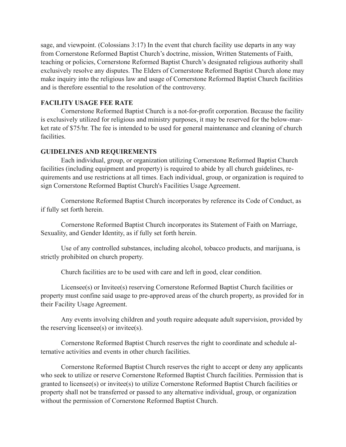sage, and viewpoint. (Colossians 3:17) In the event that church facility use departs in any way from Cornerstone Reformed Baptist Church's doctrine, mission, Written Statements of Faith, teaching or policies, Cornerstone Reformed Baptist Church's designated religious authority shall exclusively resolve any disputes. The Elders of Cornerstone Reformed Baptist Church alone may make inquiry into the religious law and usage of Cornerstone Reformed Baptist Church facilities and is therefore essential to the resolution of the controversy.

# **FACILITY USAGE FEE RATE**

Cornerstone Reformed Baptist Church is a not-for-profit corporation. Because the facility is exclusively utilized for religious and ministry purposes, it may be reserved for the below-market rate of \$75/hr. The fee is intended to be used for general maintenance and cleaning of church facilities.

# **GUIDELINES AND REQUIREMENTS**

Each individual, group, or organization utilizing Cornerstone Reformed Baptist Church facilities (including equipment and property) is required to abide by all church guidelines, requirements and use restrictions at all times. Each individual, group, or organization is required to sign Cornerstone Reformed Baptist Church's Facilities Usage Agreement.

Cornerstone Reformed Baptist Church incorporates by reference its Code of Conduct, as if fully set forth herein.

Cornerstone Reformed Baptist Church incorporates its Statement of Faith on Marriage, Sexuality, and Gender Identity, as if fully set forth herein.

Use of any controlled substances, including alcohol, tobacco products, and marijuana, is strictly prohibited on church property.

Church facilities are to be used with care and left in good, clear condition.

Licensee(s) or Invitee(s) reserving Cornerstone Reformed Baptist Church facilities or property must confine said usage to pre-approved areas of the church property, as provided for in their Facility Usage Agreement.

Any events involving children and youth require adequate adult supervision, provided by the reserving licensee(s) or invitee(s).

Cornerstone Reformed Baptist Church reserves the right to coordinate and schedule alternative activities and events in other church facilities.

Cornerstone Reformed Baptist Church reserves the right to accept or deny any applicants who seek to utilize or reserve Cornerstone Reformed Baptist Church facilities. Permission that is granted to licensee(s) or invitee(s) to utilize Cornerstone Reformed Baptist Church facilities or property shall not be transferred or passed to any alternative individual, group, or organization without the permission of Cornerstone Reformed Baptist Church.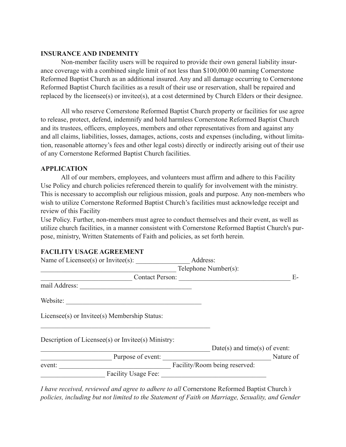# **INSURANCE AND INDEMNITY**

Non-member facility users will be required to provide their own general liability insurance coverage with a combined single limit of not less than \$100,000.00 naming Cornerstone Reformed Baptist Church as an additional insured. Any and all damage occurring to Cornerstone Reformed Baptist Church facilities as a result of their use or reservation, shall be repaired and replaced by the licensee(s) or invitee(s), at a cost determined by Church Elders or their designee.

All who reserve Cornerstone Reformed Baptist Church property or facilities for use agree to release, protect, defend, indemnify and hold harmless Cornerstone Reformed Baptist Church and its trustees, officers, employees, members and other representatives from and against any and all claims, liabilities, losses, damages, actions, costs and expenses (including, without limitation, reasonable attorney's fees and other legal costs) directly or indirectly arising out of their use of any Cornerstone Reformed Baptist Church facilities.

# **APPLICATION**

All of our members, employees, and volunteers must affirm and adhere to this Facility Use Policy and church policies referenced therein to qualify for involvement with the ministry. This is necessary to accomplish our religious mission, goals and purpose. Any non-members who wish to utilize Cornerstone Reformed Baptist Church's facilities must acknowledge receipt and review of this Facility

Use Policy. Further, non-members must agree to conduct themselves and their event, as well as utilize church facilities, in a manner consistent with Cornerstone Reformed Baptist Church's purpose, ministry, Written Statements of Faith and policies, as set forth herein.

# **FACILITY USAGE AGREEMENT**

| Address:                                           |                                                                  |
|----------------------------------------------------|------------------------------------------------------------------|
| Telephone Number(s):                               |                                                                  |
| <b>Contact Person:</b>                             | $E-$                                                             |
|                                                    |                                                                  |
|                                                    |                                                                  |
|                                                    |                                                                  |
| Description of Licensee(s) or Invitee(s) Ministry: |                                                                  |
|                                                    |                                                                  |
|                                                    | Nature of                                                        |
|                                                    |                                                                  |
|                                                    |                                                                  |
|                                                    | $Date(s)$ and time(s) of event:<br>Facility/Room being reserved: |

*I have received, reviewed and agree to adhere to all* Cornerstone Reformed Baptist Church*'s policies, including but not limited to the Statement of Faith on Marriage, Sexuality, and Gender*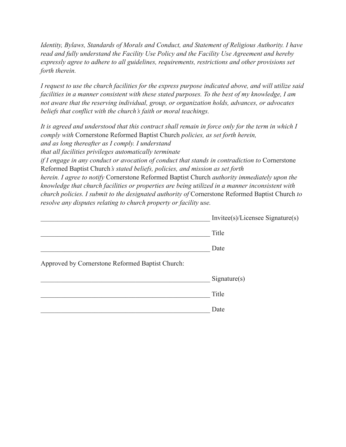*Identity, Bylaws, Standards of Morals and Conduct, and Statement of Religious Authority. I have read and fully understand the Facility Use Policy and the Facility Use Agreement and hereby expressly agree to adhere to all guidelines, requirements, restrictions and other provisions set forth therein.* 

*I request to use the church facilities for the express purpose indicated above, and will utilize said facilities in a manner consistent with these stated purposes. To the best of my knowledge, I am not aware that the reserving individual, group, or organization holds, advances, or advocates beliefs that conflict with the church's faith or moral teachings.* 

*It is agreed and understood that this contract shall remain in force only for the term in which I comply with* Cornerstone Reformed Baptist Church *policies, as set forth herein, and as long thereafter as I comply. I understand that all facilities privileges automatically terminate* 

*if I engage in any conduct or avocation of conduct that stands in contradiction to Cornerstone* Reformed Baptist Church*'s stated beliefs, policies, and mission as set forth* 

*herein. I agree to notify* Cornerstone Reformed Baptist Church *authority immediately upon the knowledge that church facilities or properties are being utilized in a manner inconsistent with church policies. I submit to the designated authority of* Cornerstone Reformed Baptist Church *to resolve any disputes relating to church property or facility use.* 

|                                                  | $Invitee(s)/Lieensee$ Signature(s) |
|--------------------------------------------------|------------------------------------|
|                                                  | Title                              |
|                                                  | Date                               |
| Approved by Cornerstone Reformed Baptist Church: |                                    |
|                                                  | Sigmaer(s)                         |
|                                                  | Title                              |
|                                                  | Date                               |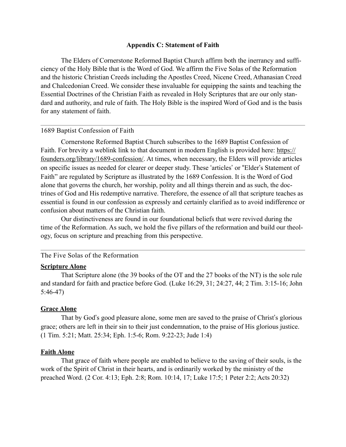### <span id="page-26-0"></span>**Appendix C: Statement of Faith**

 The Elders of Cornerstone Reformed Baptist Church affirm both the inerrancy and sufficiency of the Holy Bible that is the Word of God. We affirm the Five Solas of the Reformation and the historic Christian Creeds including the Apostles Creed, Nicene Creed, Athanasian Creed and Chalcedonian Creed. We consider these invaluable for equipping the saints and teaching the Essential Doctrines of the Christian Faith as revealed in Holy Scriptures that are our only standard and authority, and rule of faith. The Holy Bible is the inspired Word of God and is the basis for any statement of faith.

### <span id="page-26-1"></span>1689 Baptist Confession of Faith

 Cornerstone Reformed Baptist Church subscribes to the 1689 Baptist Confession of Faith. For brevity a weblink link to that document in modern English is provided here: [https://](https://founders.org/library/1689-confession/) [founders.org/library/1689-confession/](https://founders.org/library/1689-confession/). At times, when necessary, the Elders will provide articles on specific issues as needed for clearer or deeper study. These 'articles' or "Elder's Statement of Faith" are regulated by Scripture as illustrated by the 1689 Confession. It is the Word of God alone that governs the church, her worship, polity and all things therein and as such, the doctrines of God and His redemptive narrative. Therefore, the essence of all that scripture teaches as essential is found in our confession as expressly and certainly clarified as to avoid indifference or confusion about matters of the Christian faith.

 Our distinctiveness are found in our foundational beliefs that were revived during the time of the Reformation. As such, we hold the five pillars of the reformation and build our theology, focus on scripture and preaching from this perspective.

# <span id="page-26-2"></span>The Five Solas of the Reformation

#### **Scripture Alone**

 That Scripture alone (the 39 books of the OT and the 27 books of the NT) is the sole rule and standard for faith and practice before God. (Luke 16:29, 31; 24:27, 44; 2 Tim. 3:15-16; John 5:46-47)

## **Grace Alone**

 That by God's good pleasure alone, some men are saved to the praise of Christ's glorious grace; others are left in their sin to their just condemnation, to the praise of His glorious justice. (1 Tim. 5:21; Matt. 25:34; Eph. 1:5-6; Rom. 9:22-23; Jude 1:4)

#### **Faith Alone**

 That grace of faith where people are enabled to believe to the saving of their souls, is the work of the Spirit of Christ in their hearts, and is ordinarily worked by the ministry of the preached Word. (2 Cor. 4:13; Eph. 2:8; Rom. 10:14, 17; Luke 17:5; 1 Peter 2:2; Acts 20:32)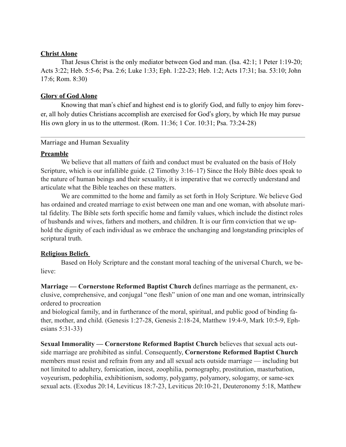# **Christ Alone**

 That Jesus Christ is the only mediator between God and man. (Isa. 42:1; 1 Peter 1:19-20; Acts 3:22; Heb. 5:5-6; Psa. 2:6; Luke 1:33; Eph. 1:22-23; Heb. 1:2; Acts 17:31; Isa. 53:10; John 17:6; Rom. 8:30)

# **Glory of God Alone**

 Knowing that man's chief and highest end is to glorify God, and fully to enjoy him forever, all holy duties Christians accomplish are exercised for God's glory, by which He may pursue His own glory in us to the uttermost. (Rom. 11:36; 1 Cor. 10:31; Psa. 73:24-28)

# <span id="page-27-0"></span>Marriage and Human Sexuality

# **Preamble**

We believe that all matters of faith and conduct must be evaluated on the basis of Holy Scripture, which is our infallible guide. (2 Timothy 3:16–17) Since the Holy Bible does speak to the nature of human beings and their sexuality, it is imperative that we correctly understand and articulate what the Bible teaches on these matters.

We are committed to the home and family as set forth in Holy Scripture. We believe God has ordained and created marriage to exist between one man and one woman, with absolute marital fidelity. The Bible sets forth specific home and family values, which include the distinct roles of husbands and wives, fathers and mothers, and children. It is our firm conviction that we uphold the dignity of each individual as we embrace the unchanging and longstanding principles of scriptural truth.

# **Religious Beliefs**

Based on Holy Scripture and the constant moral teaching of the universal Church, we believe:

**Marriage — Cornerstone Reformed Baptist Church** defines marriage as the permanent, exclusive, comprehensive, and conjugal "one flesh" union of one man and one woman, intrinsically ordered to procreation

and biological family, and in furtherance of the moral, spiritual, and public good of binding father, mother, and child. (Genesis 1:27-28, Genesis 2:18-24, Matthew 19:4-9, Mark 10:5-9, Ephesians 5:31-33)

**Sexual Immorality — Cornerstone Reformed Baptist Church** believes that sexual acts outside marriage are prohibited as sinful. Consequently, **Cornerstone Reformed Baptist Church**  members must resist and refrain from any and all sexual acts outside marriage — including but not limited to adultery, fornication, incest, zoophilia, pornography, prostitution, masturbation, voyeurism, pedophilia, exhibitionism, sodomy, polygamy, polyamory, sologamy, or same-sex sexual acts. (Exodus 20:14, Leviticus 18:7-23, Leviticus 20:10-21, Deuteronomy 5:18, Matthew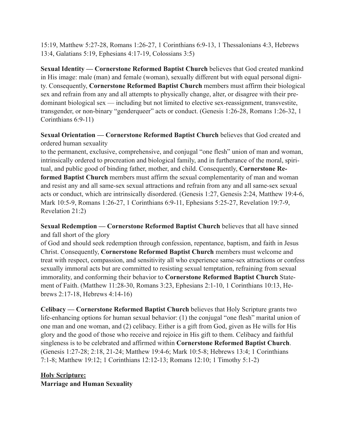15:19, Matthew 5:27-28, Romans 1:26-27, 1 Corinthians 6:9-13, 1 Thessalonians 4:3, Hebrews 13:4, Galatians 5:19, Ephesians 4:17-19, Colossians 3:5)

**Sexual Identity — Cornerstone Reformed Baptist Church** believes that God created mankind in His image: male (man) and female (woman), sexually different but with equal personal dignity. Consequently, **Cornerstone Reformed Baptist Church** members must affirm their biological sex and refrain from any and all attempts to physically change, alter, or disagree with their predominant biological sex — including but not limited to elective sex-reassignment, transvestite, transgender, or non-binary "genderqueer" acts or conduct. (Genesis 1:26-28, Romans 1:26-32, 1 Corinthians 6:9-11)

**Sexual Orientation — Cornerstone Reformed Baptist Church** believes that God created and ordered human sexuality

to the permanent, exclusive, comprehensive, and conjugal "one flesh" union of man and woman, intrinsically ordered to procreation and biological family, and in furtherance of the moral, spiritual, and public good of binding father, mother, and child. Consequently, **Cornerstone Reformed Baptist Church** members must affirm the sexual complementarity of man and woman and resist any and all same-sex sexual attractions and refrain from any and all same-sex sexual acts or conduct, which are intrinsically disordered. (Genesis 1:27, Genesis 2:24, Matthew 19:4-6, Mark 10:5-9, Romans 1:26-27, 1 Corinthians 6:9-11, Ephesians 5:25-27, Revelation 19:7-9, Revelation 21:2)

**Sexual Redemption — Cornerstone Reformed Baptist Church** believes that all have sinned and fall short of the glory

of God and should seek redemption through confession, repentance, baptism, and faith in Jesus Christ. Consequently, **Cornerstone Reformed Baptist Church** members must welcome and treat with respect, compassion, and sensitivity all who experience same-sex attractions or confess sexually immoral acts but are committed to resisting sexual temptation, refraining from sexual immorality, and conforming their behavior to **Cornerstone Reformed Baptist Church** Statement of Faith. (Matthew 11:28-30, Romans 3:23, Ephesians 2:1-10, 1 Corinthians 10:13, Hebrews 2:17-18, Hebrews 4:14-16)

**Celibacy — Cornerstone Reformed Baptist Church** believes that Holy Scripture grants two life-enhancing options for human sexual behavior: (1) the conjugal "one flesh" marital union of one man and one woman, and (2) celibacy. Either is a gift from God, given as He wills for His glory and the good of those who receive and rejoice in His gift to them. Celibacy and faithful singleness is to be celebrated and affirmed within **Cornerstone Reformed Baptist Church**. (Genesis 1:27-28; 2:18, 21-24; Matthew 19:4-6; Mark 10:5-8; Hebrews 13:4; 1 Corinthians 7:1-8; Matthew 19:12; 1 Corinthians 12:12-13; Romans 12:10; 1 Timothy 5:1-2)

# **Holy Scripture: Marriage and Human Sexuality**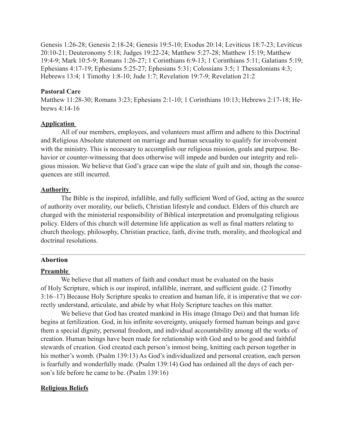Genesis 1:26-28; Genesis 2:18-24; Genesis 19:5-10; Exodus 20:14; Leviticus 18:7-23; Leviticus 20:10-21; Deuteronomy 5:18; Judges 19:22-24; Matthew 5:27-28; Matthew 15:19; Matthew 19:4-9; Mark 10:5-9; Romans 1:26-27; 1 Corinthians 6:9-13; 1 Corinthians 5:11; Galatians 5:19; Ephesians 4:17-19; Ephesians 5:25-27; Ephesians 5:31; Colossians 3:5; 1 Thessalonians 4:3; Hebrews 13:4; 1 Timothy 1:8-10; Jude 1:7; Revelation 19:7-9; Revelation 21:2

### **Pastoral Care**

Matthew 11:28-30; Romans 3:23; Ephesians 2:1-10; 1 Corinthians 10:13; Hebrews 2:17-18; Hebrews 4:14-16

### **Application**

All of our members, employees, and volunteers must affirm and adhere to this Doctrinal and Religious Absolute statement on marriage and human sexuality to qualify for involvement with the ministry. This is necessary to accomplish our religious mission, goals and purpose. Behavior or counter-witnessing that does otherwise will impede and burden our integrity and religious mission. We believe that God's grace can wipe the slate of guilt and sin, though the consequences are still incurred.

### **Authority**

The Bible is the inspired, infallible, and fully sufficient Word of God, acting as the source of authority over morality, our beliefs, Christian lifestyle and conduct. Elders of this church are charged with the ministerial responsibility of Biblical interpretation and promulgating religious policy. Elders of this church will determine life application as well as final matters relating to church theology, philosophy, Christian practice, faith, divine truth, morality, and theological and doctrinal resolutions.

#### <span id="page-29-0"></span>**Abortion**

### **Preamble**

We believe that all matters of faith and conduct must be evaluated on the basis of Holy Scripture, which is our inspired, infallible, inerrant, and sufficient guide. (2 Timothy 3:16–17) Because Holy Scripture speaks to creation and human life, it is imperative that we correctly understand, articulate, and abide by what Holy Scripture teaches on this matter.

We believe that God has created mankind in His image (Imago Dei) and that human life begins at fertilization. God, in his infinite sovereignty, uniquely formed human beings and gave them a special dignity, personal freedom, and individual accountability among all the works of creation. Human beings have been made for relationship with God and to be good and faithful stewards of creation. God created each person's inmost being, knitting each person together in his mother's womb. (Psalm 139:13) As God's individualized and personal creation, each person is fearfully and wonderfully made. (Psalm 139:14) God has ordained all the days of each person's life before he came to be. (Psalm 139:16)

### **Religious Beliefs**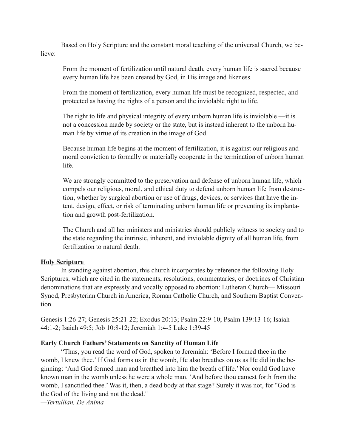Based on Holy Scripture and the constant moral teaching of the universal Church, we believe:

From the moment of fertilization until natural death, every human life is sacred because every human life has been created by God, in His image and likeness.

From the moment of fertilization, every human life must be recognized, respected, and protected as having the rights of a person and the inviolable right to life.

The right to life and physical integrity of every unborn human life is inviolable —it is not a concession made by society or the state, but is instead inherent to the unborn human life by virtue of its creation in the image of God.

Because human life begins at the moment of fertilization, it is against our religious and moral conviction to formally or materially cooperate in the termination of unborn human life.

We are strongly committed to the preservation and defense of unborn human life, which compels our religious, moral, and ethical duty to defend unborn human life from destruction, whether by surgical abortion or use of drugs, devices, or services that have the intent, design, effect, or risk of terminating unborn human life or preventing its implantation and growth post-fertilization.

The Church and all her ministers and ministries should publicly witness to society and to the state regarding the intrinsic, inherent, and inviolable dignity of all human life, from fertilization to natural death.

### **Holy Scripture**

In standing against abortion, this church incorporates by reference the following Holy Scriptures, which are cited in the statements, resolutions, commentaries, or doctrines of Christian denominations that are expressly and vocally opposed to abortion: Lutheran Church— Missouri Synod, Presbyterian Church in America, Roman Catholic Church, and Southern Baptist Convention.

Genesis 1:26-27; Genesis 25:21-22; Exodus 20:13; Psalm 22:9-10; Psalm 139:13-16; Isaiah 44:1-2; Isaiah 49:5; Job 10:8-12; Jeremiah 1:4-5 Luke 1:39-45

### **Early Church Fathers' Statements on Sanctity of Human Life**

"Thus, you read the word of God, spoken to Jeremiah: 'Before I formed thee in the womb, I knew thee.' If God forms us in the womb, He also breathes on us as He did in the beginning: 'And God formed man and breathed into him the breath of life.' Nor could God have known man in the womb unless he were a whole man. 'And before thou camest forth from the womb, I sanctified thee.' Was it, then, a dead body at that stage? Surely it was not, for "God is the God of the living and not the dead."

*—Tertullian, De Anima*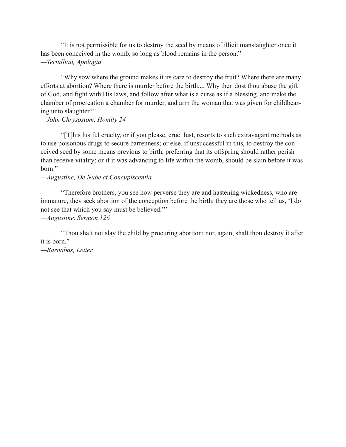"It is not permissible for us to destroy the seed by means of illicit manslaughter once it has been conceived in the womb, so long as blood remains in the person." *—Tertullian, Apologia* 

"Why sow where the ground makes it its care to destroy the fruit? Where there are many efforts at abortion? Where there is murder before the birth.... Why then dost thou abuse the gift of God, and fight with His laws, and follow after what is a curse as if a blessing, and make the chamber of procreation a chamber for murder, and arm the woman that was given for childbearing unto slaughter?"

### *—John Chrysostom, Homily 24*

"[T]his lustful cruelty, or if you please, cruel lust, resorts to such extravagant methods as to use poisonous drugs to secure barrenness; or else, if unsuccessful in this, to destroy the conceived seed by some means previous to birth, preferring that its offspring should rather perish than receive vitality; or if it was advancing to life within the womb, should be slain before it was born."

# *—Augustine, De Nube et Concupiscentia*

 "Therefore brothers, you see how perverse they are and hastening wickedness, who are immature, they seek abortion of the conception before the birth; they are those who tell us, 'I do not see that which you say must be believed.'"

*—Augustine, Sermon 126* 

"Thou shalt not slay the child by procuring abortion; nor, again, shalt thou destroy it after it is born."

*—Barnabas, Letter*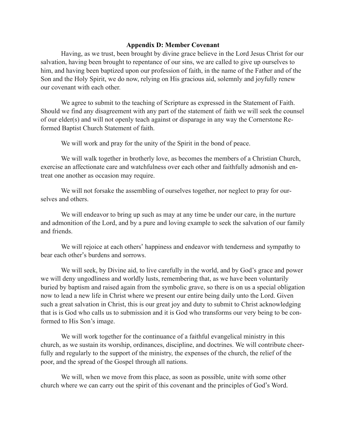### <span id="page-32-0"></span>**Appendix D: Member Covenant**

 Having, as we trust, been brought by divine grace believe in the Lord Jesus Christ for our salvation, having been brought to repentance of our sins, we are called to give up ourselves to him, and having been baptized upon our profession of faith, in the name of the Father and of the Son and the Holy Spirit, we do now, relying on His gracious aid, solemnly and joyfully renew our covenant with each other.

 We agree to submit to the teaching of Scripture as expressed in the Statement of Faith. Should we find any disagreement with any part of the statement of faith we will seek the counsel of our elder(s) and will not openly teach against or disparage in any way the Cornerstone Reformed Baptist Church Statement of faith.

We will work and pray for the unity of the Spirit in the bond of peace.

We will walk together in brotherly love, as becomes the members of a Christian Church, exercise an affectionate care and watchfulness over each other and faithfully admonish and entreat one another as occasion may require.

 We will not forsake the assembling of ourselves together, nor neglect to pray for ourselves and others.

We will endeavor to bring up such as may at any time be under our care, in the nurture and admonition of the Lord, and by a pure and loving example to seek the salvation of our family and friends.

 We will rejoice at each others' happiness and endeavor with tenderness and sympathy to bear each other's burdens and sorrows.

 We will seek, by Divine aid, to live carefully in the world, and by God's grace and power we will deny ungodliness and worldly lusts, remembering that, as we have been voluntarily buried by baptism and raised again from the symbolic grave, so there is on us a special obligation now to lead a new life in Christ where we present our entire being daily unto the Lord. Given such a great salvation in Christ, this is our great joy and duty to submit to Christ acknowledging that is is God who calls us to submission and it is God who transforms our very being to be conformed to His Son's image.

 We will work together for the continuance of a faithful evangelical ministry in this church, as we sustain its worship, ordinances, discipline, and doctrines. We will contribute cheerfully and regularly to the support of the ministry, the expenses of the church, the relief of the poor, and the spread of the Gospel through all nations.

 We will, when we move from this place, as soon as possible, unite with some other church where we can carry out the spirit of this covenant and the principles of God's Word.